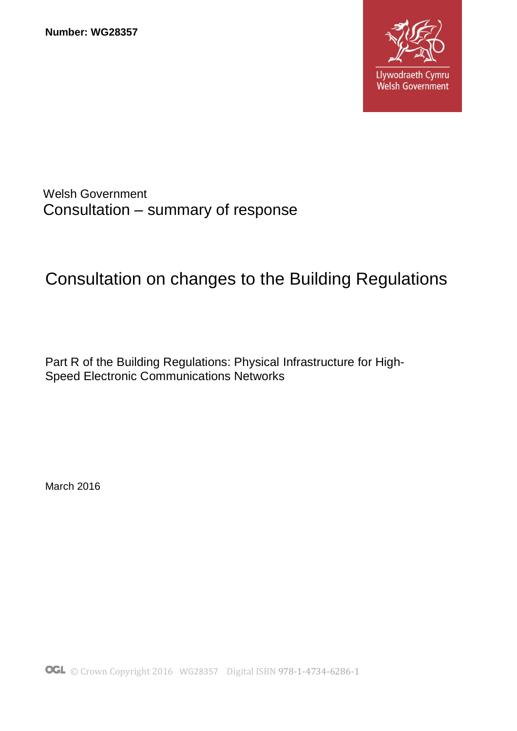

## Welsh Government Consultation – summary of response

# Consultation on changes to the Building Regulations

Part R of the Building Regulations: Physical Infrastructure for High-Speed Electronic Communications Networks

March 2016

© Crown Copyright 2016 WG28357Digital ISBN 978-1-4734-6286-1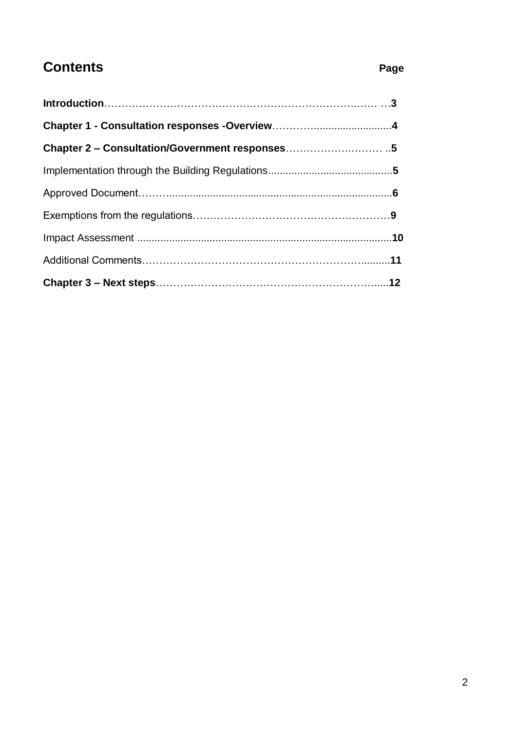# **Contents Page**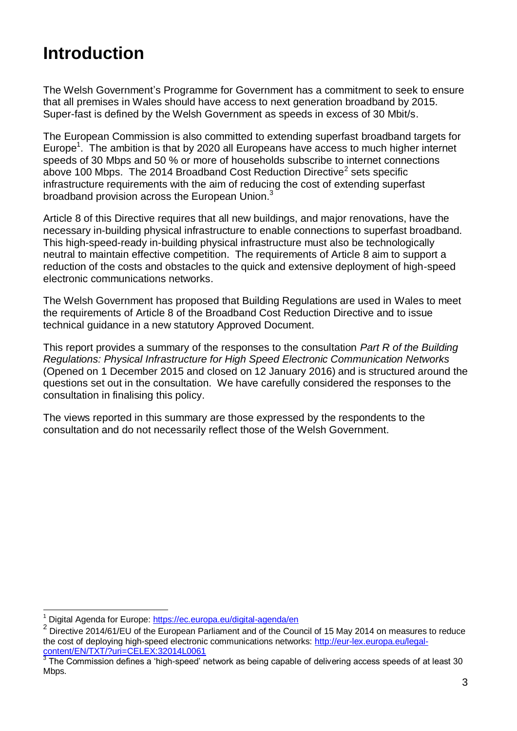# **Introduction**

The Welsh Government's Programme for Government has a commitment to seek to ensure that all premises in Wales should have access to next generation broadband by 2015. Super-fast is defined by the Welsh Government as speeds in excess of 30 Mbit/s.

The European Commission is also committed to extending superfast broadband targets for Europe<sup>1</sup>. The ambition is that by 2020 all Europeans have access to much higher internet speeds of 30 Mbps and 50 % or more of households subscribe to internet connections above 100 Mbps. The 2014 Broadband Cost Reduction Directive<sup>2</sup> sets specific infrastructure requirements with the aim of reducing the cost of extending superfast broadband provision across the European Union. $3$ 

Article 8 of this Directive requires that all new buildings, and major renovations, have the necessary in-building physical infrastructure to enable connections to superfast broadband. This high-speed-ready in-building physical infrastructure must also be technologically neutral to maintain effective competition. The requirements of Article 8 aim to support a reduction of the costs and obstacles to the quick and extensive deployment of high-speed electronic communications networks.

The Welsh Government has proposed that Building Regulations are used in Wales to meet the requirements of Article 8 of the Broadband Cost Reduction Directive and to issue technical guidance in a new statutory Approved Document.

This report provides a summary of the responses to the consultation *Part R of the Building Regulations: Physical Infrastructure for High Speed Electronic Communication Networks* (Opened on 1 December 2015 and closed on 12 January 2016) and is structured around the questions set out in the consultation. We have carefully considered the responses to the consultation in finalising this policy.

The views reported in this summary are those expressed by the respondents to the consultation and do not necessarily reflect those of the Welsh Government.

 $\overline{a}$ <sup>1</sup> Digital Agenda for Europe:<https://ec.europa.eu/digital-agenda/en>

<sup>2</sup> Directive 2014/61/EU of the European Parliament and of the Council of 15 May 2014 on measures to reduce the cost of deploying high-speed electronic communications networks: [http://eur-lex.europa.eu/legal](http://eur-lex.europa.eu/legal-content/EN/TXT/?uri=CELEX:32014L0061)[content/EN/TXT/?uri=CELEX:32014L0061](http://eur-lex.europa.eu/legal-content/EN/TXT/?uri=CELEX:32014L0061) 3

The Commission defines a 'high-speed' network as being capable of delivering access speeds of at least 30 Mbps.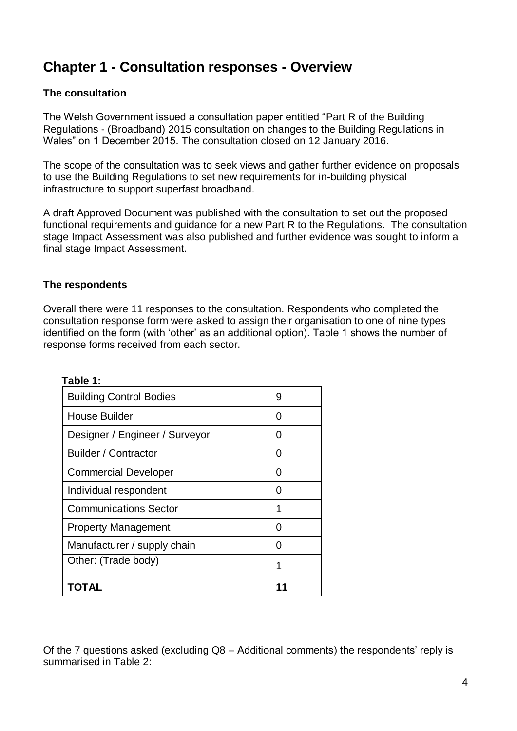# **Chapter 1 - Consultation responses - Overview**

#### **The consultation**

The Welsh Government issued a consultation paper entitled "Part R of the Building Regulations - (Broadband) 2015 consultation on changes to the Building Regulations in Wales" on 1 December 2015. The consultation closed on 12 January 2016.

The scope of the consultation was to seek views and gather further evidence on proposals to use the Building Regulations to set new requirements for in-building physical infrastructure to support superfast broadband.

A draft Approved Document was published with the consultation to set out the proposed functional requirements and guidance for a new Part R to the Regulations. The consultation stage Impact Assessment was also published and further evidence was sought to inform a final stage Impact Assessment.

#### **The respondents**

Overall there were 11 responses to the consultation. Respondents who completed the consultation response form were asked to assign their organisation to one of nine types identified on the form (with 'other' as an additional option). Table 1 shows the number of response forms received from each sector.

| Other: (Trade body)            | 1 |
|--------------------------------|---|
| Manufacturer / supply chain    | 0 |
| <b>Property Management</b>     | O |
| <b>Communications Sector</b>   | 1 |
| Individual respondent          | 0 |
| <b>Commercial Developer</b>    | 0 |
| <b>Builder / Contractor</b>    | 0 |
| Designer / Engineer / Surveyor | O |
| <b>House Builder</b>           | 0 |
| <b>Building Control Bodies</b> | 9 |
|                                |   |

**Table 1:**

Of the 7 questions asked (excluding Q8 – Additional comments) the respondents' reply is summarised in Table 2: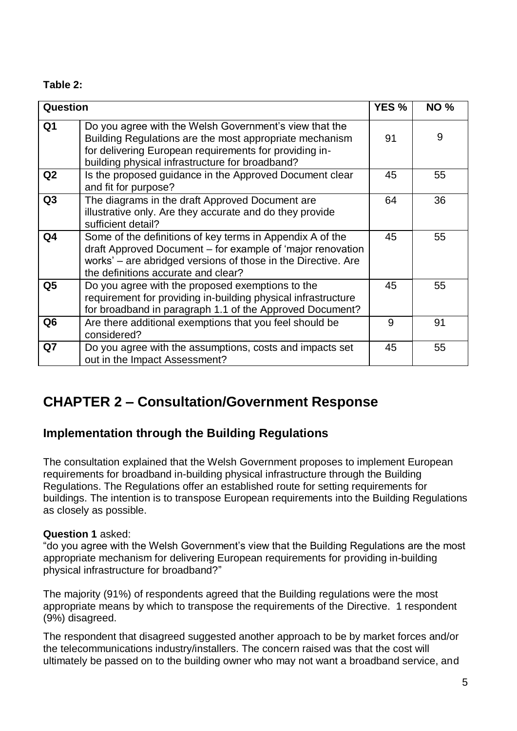#### **Table 2:**

| Question       |                                                                                                                                                                                                                                 | YES <sub>%</sub> | <b>NO%</b> |
|----------------|---------------------------------------------------------------------------------------------------------------------------------------------------------------------------------------------------------------------------------|------------------|------------|
| Q1             | Do you agree with the Welsh Government's view that the<br>Building Regulations are the most appropriate mechanism<br>for delivering European requirements for providing in-<br>building physical infrastructure for broadband?  | 91               | 9          |
| Q <sub>2</sub> | Is the proposed guidance in the Approved Document clear<br>and fit for purpose?                                                                                                                                                 | 45               | 55         |
| Q <sub>3</sub> | The diagrams in the draft Approved Document are<br>illustrative only. Are they accurate and do they provide<br>sufficient detail?                                                                                               | 64               | 36         |
| Q4             | Some of the definitions of key terms in Appendix A of the<br>draft Approved Document - for example of 'major renovation<br>works' - are abridged versions of those in the Directive. Are<br>the definitions accurate and clear? | 45               | 55         |
| Q <sub>5</sub> | Do you agree with the proposed exemptions to the<br>requirement for providing in-building physical infrastructure<br>for broadband in paragraph 1.1 of the Approved Document?                                                   | 45               | 55         |
| Q <sub>6</sub> | Are there additional exemptions that you feel should be<br>considered?                                                                                                                                                          | 9                | 91         |
| Q7             | Do you agree with the assumptions, costs and impacts set<br>out in the Impact Assessment?                                                                                                                                       | 45               | 55         |

# **CHAPTER 2 – Consultation/Government Response**

### **Implementation through the Building Regulations**

The consultation explained that the Welsh Government proposes to implement European requirements for broadband in-building physical infrastructure through the Building Regulations. The Regulations offer an established route for setting requirements for buildings. The intention is to transpose European requirements into the Building Regulations as closely as possible.

#### **Question 1** asked:

"do you agree with the Welsh Government's view that the Building Regulations are the most appropriate mechanism for delivering European requirements for providing in-building physical infrastructure for broadband?"

The majority (91%) of respondents agreed that the Building regulations were the most appropriate means by which to transpose the requirements of the Directive. 1 respondent (9%) disagreed.

The respondent that disagreed suggested another approach to be by market forces and/or the telecommunications industry/installers. The concern raised was that the cost will ultimately be passed on to the building owner who may not want a broadband service, and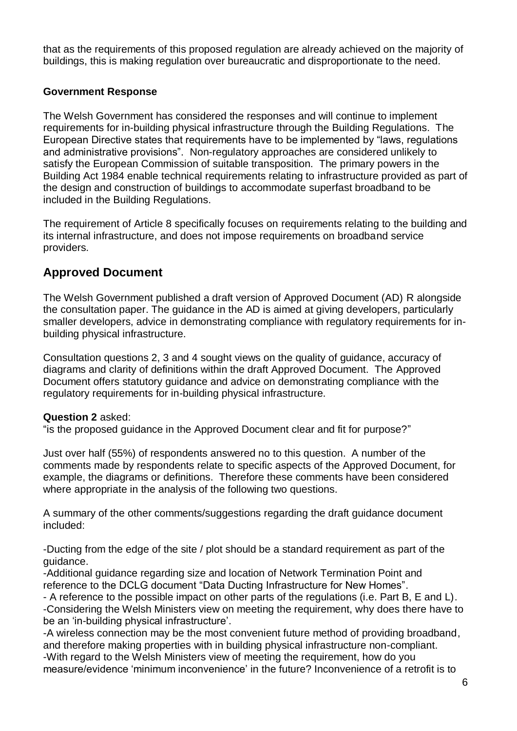that as the requirements of this proposed regulation are already achieved on the majority of buildings, this is making regulation over bureaucratic and disproportionate to the need.

#### **Government Response**

The Welsh Government has considered the responses and will continue to implement requirements for in-building physical infrastructure through the Building Regulations. The European Directive states that requirements have to be implemented by "laws, regulations and administrative provisions". Non-regulatory approaches are considered unlikely to satisfy the European Commission of suitable transposition. The primary powers in the Building Act 1984 enable technical requirements relating to infrastructure provided as part of the design and construction of buildings to accommodate superfast broadband to be included in the Building Regulations.

The requirement of Article 8 specifically focuses on requirements relating to the building and its internal infrastructure, and does not impose requirements on broadband service providers.

## **Approved Document**

The Welsh Government published a draft version of Approved Document (AD) R alongside the consultation paper. The guidance in the AD is aimed at giving developers, particularly smaller developers, advice in demonstrating compliance with regulatory requirements for inbuilding physical infrastructure.

Consultation questions 2, 3 and 4 sought views on the quality of guidance, accuracy of diagrams and clarity of definitions within the draft Approved Document. The Approved Document offers statutory guidance and advice on demonstrating compliance with the regulatory requirements for in-building physical infrastructure.

#### **Question 2** asked:

"is the proposed guidance in the Approved Document clear and fit for purpose?"

Just over half (55%) of respondents answered no to this question. A number of the comments made by respondents relate to specific aspects of the Approved Document, for example, the diagrams or definitions. Therefore these comments have been considered where appropriate in the analysis of the following two questions.

A summary of the other comments/suggestions regarding the draft guidance document included:

-Ducting from the edge of the site / plot should be a standard requirement as part of the guidance.

-Additional guidance regarding size and location of Network Termination Point and reference to the DCLG document "Data Ducting Infrastructure for New Homes".

- A reference to the possible impact on other parts of the regulations (i.e. Part B, E and L). -Considering the Welsh Ministers view on meeting the requirement, why does there have to be an 'in-building physical infrastructure'.

-A wireless connection may be the most convenient future method of providing broadband, and therefore making properties with in building physical infrastructure non-compliant.

-With regard to the Welsh Ministers view of meeting the requirement, how do you measure/evidence 'minimum inconvenience' in the future? Inconvenience of a retrofit is to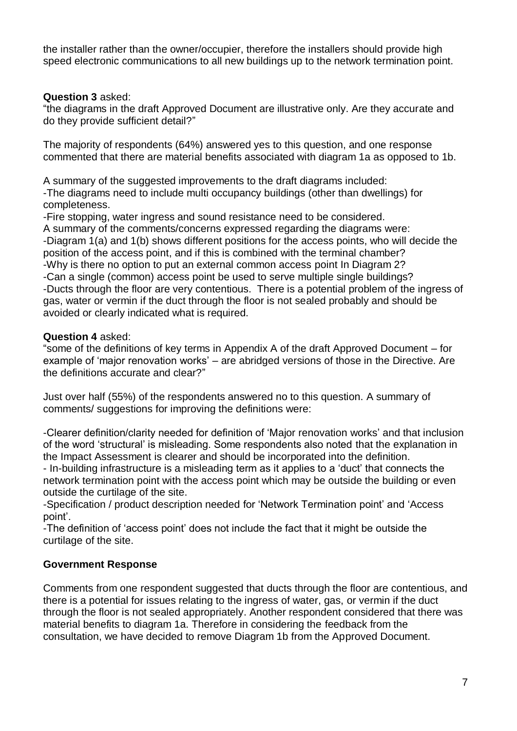the installer rather than the owner/occupier, therefore the installers should provide high speed electronic communications to all new buildings up to the network termination point.

#### **Question 3** asked:

"the diagrams in the draft Approved Document are illustrative only. Are they accurate and do they provide sufficient detail?"

The majority of respondents (64%) answered yes to this question, and one response commented that there are material benefits associated with diagram 1a as opposed to 1b.

A summary of the suggested improvements to the draft diagrams included:

-The diagrams need to include multi occupancy buildings (other than dwellings) for completeness.

-Fire stopping, water ingress and sound resistance need to be considered.

A summary of the comments/concerns expressed regarding the diagrams were: -Diagram 1(a) and 1(b) shows different positions for the access points, who will decide the position of the access point, and if this is combined with the terminal chamber? -Why is there no option to put an external common access point In Diagram 2? -Can a single (common) access point be used to serve multiple single buildings?

-Ducts through the floor are very contentious. There is a potential problem of the ingress of gas, water or vermin if the duct through the floor is not sealed probably and should be avoided or clearly indicated what is required.

#### **Question 4** asked:

"some of the definitions of key terms in Appendix A of the draft Approved Document – for example of 'major renovation works' – are abridged versions of those in the Directive. Are the definitions accurate and clear?"

Just over half (55%) of the respondents answered no to this question. A summary of comments/ suggestions for improving the definitions were:

-Clearer definition/clarity needed for definition of 'Major renovation works' and that inclusion of the word 'structural' is misleading. Some respondents also noted that the explanation in the Impact Assessment is clearer and should be incorporated into the definition.

- In-building infrastructure is a misleading term as it applies to a 'duct' that connects the network termination point with the access point which may be outside the building or even outside the curtilage of the site.

-Specification / product description needed for 'Network Termination point' and 'Access point'.

-The definition of 'access point' does not include the fact that it might be outside the curtilage of the site.

#### **Government Response**

Comments from one respondent suggested that ducts through the floor are contentious, and there is a potential for issues relating to the ingress of water, gas, or vermin if the duct through the floor is not sealed appropriately. Another respondent considered that there was material benefits to diagram 1a. Therefore in considering the feedback from the consultation, we have decided to remove Diagram 1b from the Approved Document.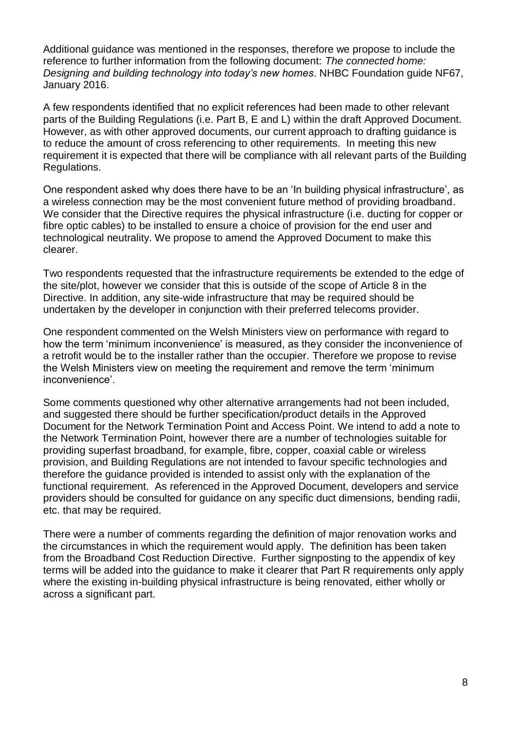Additional guidance was mentioned in the responses, therefore we propose to include the reference to further information from the following document: *The connected home: Designing and building technology into today's new homes*. NHBC Foundation guide NF67, January 2016.

A few respondents identified that no explicit references had been made to other relevant parts of the Building Regulations (i.e. Part B, E and L) within the draft Approved Document. However, as with other approved documents, our current approach to drafting guidance is to reduce the amount of cross referencing to other requirements. In meeting this new requirement it is expected that there will be compliance with all relevant parts of the Building Regulations.

One respondent asked why does there have to be an 'In building physical infrastructure', as a wireless connection may be the most convenient future method of providing broadband. We consider that the Directive requires the physical infrastructure (i.e. ducting for copper or fibre optic cables) to be installed to ensure a choice of provision for the end user and technological neutrality. We propose to amend the Approved Document to make this clearer.

Two respondents requested that the infrastructure requirements be extended to the edge of the site/plot, however we consider that this is outside of the scope of Article 8 in the Directive. In addition, any site-wide infrastructure that may be required should be undertaken by the developer in conjunction with their preferred telecoms provider.

One respondent commented on the Welsh Ministers view on performance with regard to how the term 'minimum inconvenience' is measured, as they consider the inconvenience of a retrofit would be to the installer rather than the occupier. Therefore we propose to revise the Welsh Ministers view on meeting the requirement and remove the term 'minimum inconvenience'.

Some comments questioned why other alternative arrangements had not been included, and suggested there should be further specification/product details in the Approved Document for the Network Termination Point and Access Point. We intend to add a note to the Network Termination Point, however there are a number of technologies suitable for providing superfast broadband, for example, fibre, copper, coaxial cable or wireless provision, and Building Regulations are not intended to favour specific technologies and therefore the guidance provided is intended to assist only with the explanation of the functional requirement. As referenced in the Approved Document, developers and service providers should be consulted for guidance on any specific duct dimensions, bending radii, etc. that may be required.

There were a number of comments regarding the definition of major renovation works and the circumstances in which the requirement would apply. The definition has been taken from the Broadband Cost Reduction Directive. Further signposting to the appendix of key terms will be added into the guidance to make it clearer that Part R requirements only apply where the existing in-building physical infrastructure is being renovated, either wholly or across a significant part.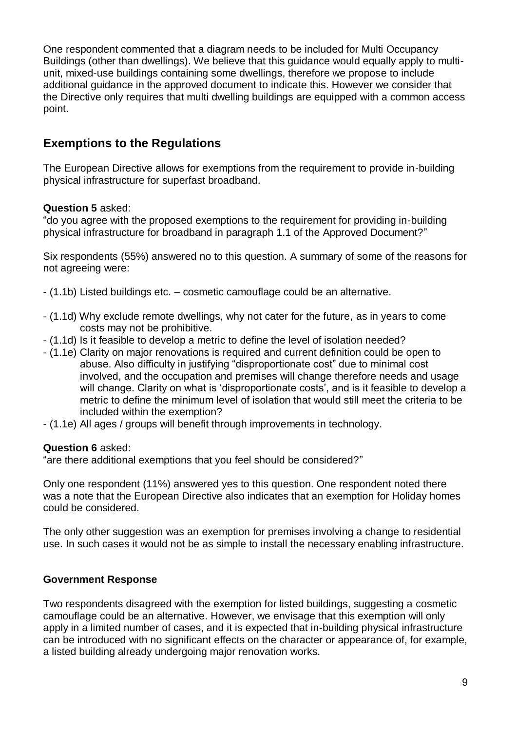One respondent commented that a diagram needs to be included for Multi Occupancy Buildings (other than dwellings). We believe that this guidance would equally apply to multiunit, mixed-use buildings containing some dwellings, therefore we propose to include additional guidance in the approved document to indicate this. However we consider that the Directive only requires that multi dwelling buildings are equipped with a common access point.

## **Exemptions to the Regulations**

The European Directive allows for exemptions from the requirement to provide in-building physical infrastructure for superfast broadband.

#### **Question 5** asked:

"do you agree with the proposed exemptions to the requirement for providing in-building physical infrastructure for broadband in paragraph 1.1 of the Approved Document?"

Six respondents (55%) answered no to this question. A summary of some of the reasons for not agreeing were:

- (1.1b) Listed buildings etc. cosmetic camouflage could be an alternative.
- (1.1d) Why exclude remote dwellings, why not cater for the future, as in years to come costs may not be prohibitive.
- (1.1d) Is it feasible to develop a metric to define the level of isolation needed?
- (1.1e) Clarity on major renovations is required and current definition could be open to abuse. Also difficulty in justifying "disproportionate cost" due to minimal cost involved, and the occupation and premises will change therefore needs and usage will change. Clarity on what is 'disproportionate costs', and is it feasible to develop a metric to define the minimum level of isolation that would still meet the criteria to be included within the exemption?
- (1.1e) All ages / groups will benefit through improvements in technology.

#### **Question 6** asked:

"are there additional exemptions that you feel should be considered?"

Only one respondent (11%) answered yes to this question. One respondent noted there was a note that the European Directive also indicates that an exemption for Holiday homes could be considered.

The only other suggestion was an exemption for premises involving a change to residential use. In such cases it would not be as simple to install the necessary enabling infrastructure.

#### **Government Response**

Two respondents disagreed with the exemption for listed buildings, suggesting a cosmetic camouflage could be an alternative. However, we envisage that this exemption will only apply in a limited number of cases, and it is expected that in-building physical infrastructure can be introduced with no significant effects on the character or appearance of, for example, a listed building already undergoing major renovation works.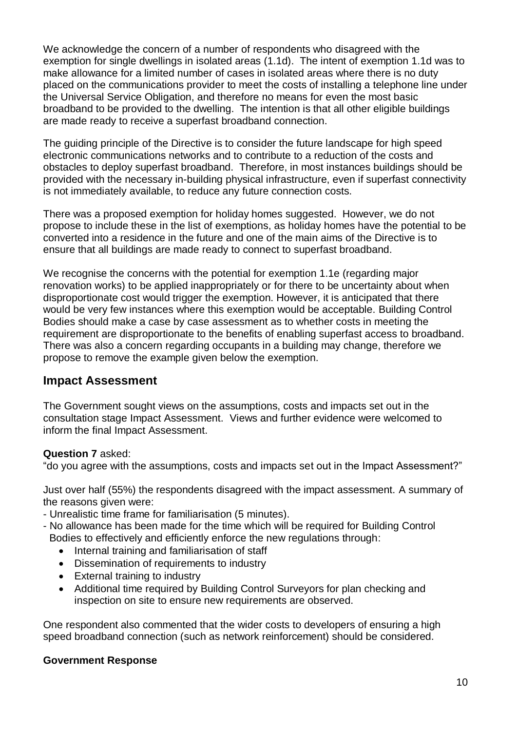We acknowledge the concern of a number of respondents who disagreed with the exemption for single dwellings in isolated areas (1.1d). The intent of exemption 1.1d was to make allowance for a limited number of cases in isolated areas where there is no duty placed on the communications provider to meet the costs of installing a telephone line under the Universal Service Obligation, and therefore no means for even the most basic broadband to be provided to the dwelling. The intention is that all other eligible buildings are made ready to receive a superfast broadband connection.

The guiding principle of the Directive is to consider the future landscape for high speed electronic communications networks and to contribute to a reduction of the costs and obstacles to deploy superfast broadband. Therefore, in most instances buildings should be provided with the necessary in-building physical infrastructure, even if superfast connectivity is not immediately available, to reduce any future connection costs.

There was a proposed exemption for holiday homes suggested. However, we do not propose to include these in the list of exemptions, as holiday homes have the potential to be converted into a residence in the future and one of the main aims of the Directive is to ensure that all buildings are made ready to connect to superfast broadband.

We recognise the concerns with the potential for exemption 1.1e (regarding major renovation works) to be applied inappropriately or for there to be uncertainty about when disproportionate cost would trigger the exemption. However, it is anticipated that there would be very few instances where this exemption would be acceptable. Building Control Bodies should make a case by case assessment as to whether costs in meeting the requirement are disproportionate to the benefits of enabling superfast access to broadband. There was also a concern regarding occupants in a building may change, therefore we propose to remove the example given below the exemption.

#### **Impact Assessment**

The Government sought views on the assumptions, costs and impacts set out in the consultation stage Impact Assessment. Views and further evidence were welcomed to inform the final Impact Assessment.

#### **Question 7** asked:

"do you agree with the assumptions, costs and impacts set out in the Impact Assessment?"

Just over half (55%) the respondents disagreed with the impact assessment. A summary of the reasons given were:

- Unrealistic time frame for familiarisation (5 minutes).
- No allowance has been made for the time which will be required for Building Control Bodies to effectively and efficiently enforce the new regulations through:
	- Internal training and familiarisation of staff
	- Dissemination of requirements to industry
	- External training to industry
	- Additional time required by Building Control Surveyors for plan checking and inspection on site to ensure new requirements are observed.

One respondent also commented that the wider costs to developers of ensuring a high speed broadband connection (such as network reinforcement) should be considered.

#### **Government Response**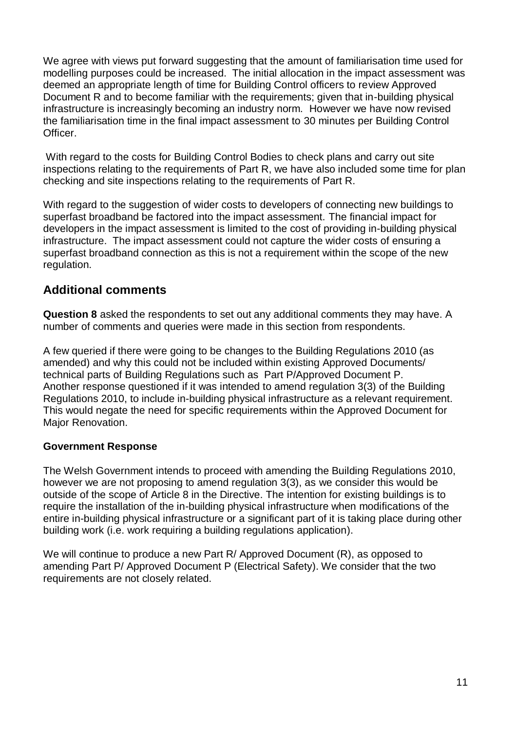We agree with views put forward suggesting that the amount of familiarisation time used for modelling purposes could be increased. The initial allocation in the impact assessment was deemed an appropriate length of time for Building Control officers to review Approved Document R and to become familiar with the requirements; given that in-building physical infrastructure is increasingly becoming an industry norm. However we have now revised the familiarisation time in the final impact assessment to 30 minutes per Building Control Officer.

With regard to the costs for Building Control Bodies to check plans and carry out site inspections relating to the requirements of Part R, we have also included some time for plan checking and site inspections relating to the requirements of Part R.

With regard to the suggestion of wider costs to developers of connecting new buildings to superfast broadband be factored into the impact assessment. The financial impact for developers in the impact assessment is limited to the cost of providing in-building physical infrastructure. The impact assessment could not capture the wider costs of ensuring a superfast broadband connection as this is not a requirement within the scope of the new regulation.

#### **Additional comments**

**Question 8** asked the respondents to set out any additional comments they may have. A number of comments and queries were made in this section from respondents.

A few queried if there were going to be changes to the Building Regulations 2010 (as amended) and why this could not be included within existing Approved Documents/ technical parts of Building Regulations such as Part P/Approved Document P. Another response questioned if it was intended to amend regulation 3(3) of the Building Regulations 2010, to include in-building physical infrastructure as a relevant requirement. This would negate the need for specific requirements within the Approved Document for Major Renovation.

#### **Government Response**

The Welsh Government intends to proceed with amending the Building Regulations 2010, however we are not proposing to amend regulation 3(3), as we consider this would be outside of the scope of Article 8 in the Directive. The intention for existing buildings is to require the installation of the in-building physical infrastructure when modifications of the entire in-building physical infrastructure or a significant part of it is taking place during other building work (i.e. work requiring a building regulations application).

We will continue to produce a new Part R/ Approved Document (R), as opposed to amending Part P/ Approved Document P (Electrical Safety). We consider that the two requirements are not closely related.